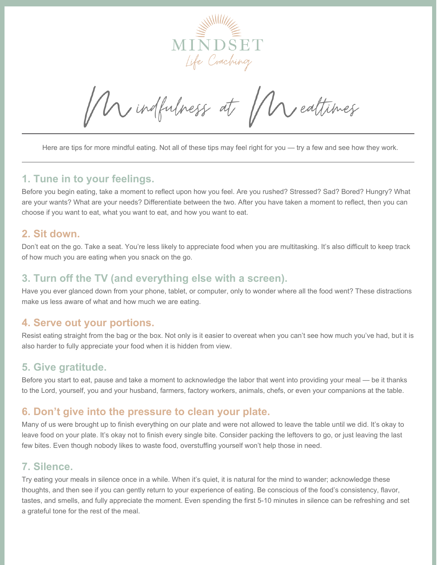

Mindfulness at Muealtimes

Here are tips for more mindful eating. Not all of these tips may feel right for you — try a few and see how they work.

#### **1. Tune in to your feelings.**

Before you begin eating, take a moment to reflect upon how you feel. Are you rushed? Stressed? Sad? Bored? Hungry? What are your wants? What are your needs? Differentiate between the two. After you have taken a moment to reflect, then you can choose if you want to eat, what you want to eat, and how you want to eat.

#### **2. Sit down.**

Don't eat on the go. Take a seat. You're less likely to appreciate food when you are multitasking. It's also difficult to keep track of how much you are eating when you snack on the go.

### **3. Turn off the TV (and everything else with a screen).**

Have you ever glanced down from your phone, tablet, or computer, only to wonder where all the food went? These distractions make us less aware of what and how much we are eating.

### **4. Serve out your portions.**

Resist eating straight from the bag or the box. Not only is it easier to overeat when you can't see how much you've had, but it is also harder to fully appreciate your food when it is hidden from view.

#### **5. Give gratitude.**

Before you start to eat, pause and take a moment to acknowledge the labor that went into providing your meal — be it thanks to the Lord, yourself, you and your husband, farmers, factory workers, animals, chefs, or even your companions at the table.

#### **6. Don't give into the pressure to clean your plate.**

Many of us were brought up to finish everything on our plate and were not allowed to leave the table until we did. It's okay to leave food on your plate. It's okay not to finish every single bite. Consider packing the leftovers to go, or just leaving the last few bites. Even though nobody likes to waste food, overstuffing yourself won't help those in need.

### **7. Silence.**

Try eating your meals in silence once in a while. When it's quiet, it is natural for the mind to wander; acknowledge these thoughts, and then see if you can gently return to your experience of eating. Be conscious of the food's consistency, flavor, tastes, and smells, and fully appreciate the moment. Even spending the first 5-10 minutes in silence can be refreshing and set a grateful tone for the rest of the meal.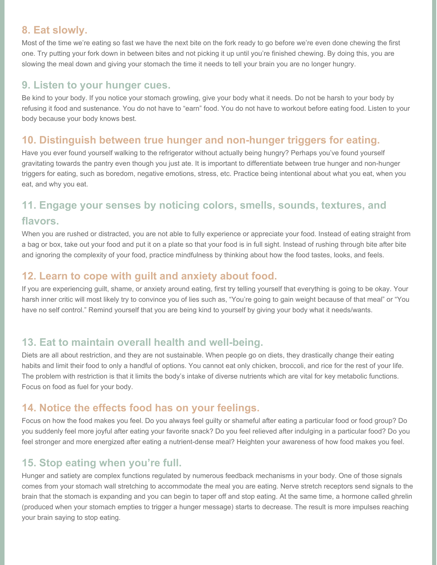## **8. Eat slowly.**

Most of the time we're eating so fast we have the next bite on the fork ready to go before we're even done chewing the first one. Try putting your fork down in between bites and not picking it up until you're finished chewing. By doing this, you are slowing the meal down and giving your stomach the time it needs to tell your brain you are no longer hungry.

## **9. Listen to your hunger cues.**

Be kind to your body. If you notice your stomach growling, give your body what it needs. Do not be harsh to your body by refusing it food and sustenance. You do not have to "earn" food. You do not have to workout before eating food. Listen to your body because your body knows best.

## **10. Distinguish between true hunger and non-hunger triggers for eating.**

Have you ever found yourself walking to the refrigerator without actually being hungry? Perhaps you've found yourself gravitating towards the pantry even though you just ate. It is important to differentiate between true hunger and non-hunger triggers for eating, such as boredom, negative emotions, stress, etc. Practice being intentional about what you eat, when you eat, and why you eat.

# **11. Engage your senses by noticing colors, smells, sounds, textures, and**

#### **flavors.**

When you are rushed or distracted, you are not able to fully experience or appreciate your food. Instead of eating straight from a bag or box, take out your food and put it on a plate so that your food is in full sight. Instead of rushing through bite after bite and ignoring the complexity of your food, practice mindfulness by thinking about how the food tastes, looks, and feels.

## **12. Learn to cope with guilt and anxiety about food.**

If you are experiencing guilt, shame, or anxiety around eating, first try telling yourself that everything is going to be okay. Your harsh inner critic will most likely try to convince you of lies such as, "You're going to gain weight because of that meal" or "You have no self control." Remind yourself that you are being kind to yourself by giving your body what it needs/wants.

## **13. Eat to maintain overall health and well-being.**

Diets are all about restriction, and they are not sustainable. When people go on diets, they drastically change their eating habits and limit their food to only a handful of options. You cannot eat only chicken, broccoli, and rice for the rest of your life. The problem with restriction is that it limits the body's intake of diverse nutrients which are vital for key metabolic functions. Focus on food as fuel for your body.

## **14. Notice the effects food has on your feelings.**

Focus on how the food makes you feel. Do you always feel guilty or shameful after eating a particular food or food group? Do you suddenly feel more joyful after eating your favorite snack? Do you feel relieved after indulging in a particular food? Do you feel stronger and more energized after eating a nutrient-dense meal? Heighten your awareness of how food makes you feel.

## **15. Stop eating when you're full.**

Hunger and satiety are complex functions regulated by numerous feedback mechanisms in your body. One of those signals comes from your stomach wall stretching to accommodate the meal you are eating. Nerve stretch receptors send signals to the brain that the stomach is expanding and you can begin to taper off and stop eating. At the same time, a hormone called ghrelin (produced when your stomach empties to trigger a hunger message) starts to decrease. The result is more impulses reaching your brain saying to stop eating.